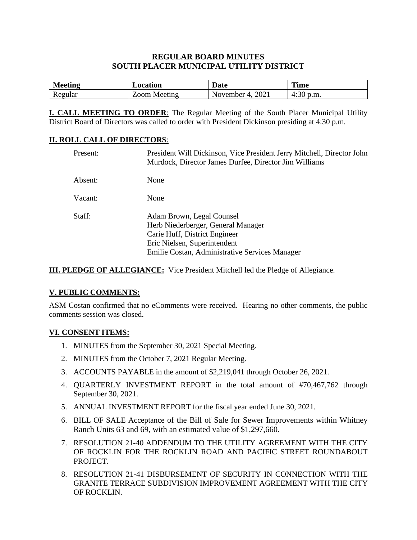# **REGULAR BOARD MINUTES SOUTH PLACER MUNICIPAL UTILITY DISTRICT**

| Meeting<br>писни | Location       | Jote<br>valc                 | <b>Time</b>  |
|------------------|----------------|------------------------------|--------------|
| w                | oom<br>Meeting | 2021<br>lovember<br>$\prime$ | p.m.<br>4.50 |

**I. CALL MEETING TO ORDER**: The Regular Meeting of the South Placer Municipal Utility District Board of Directors was called to order with President Dickinson presiding at 4:30 p.m.

## **II. ROLL CALL OF DIRECTORS**:

| Present: | President Will Dickinson, Vice President Jerry Mitchell, Director John<br>Murdock, Director James Durfee, Director Jim Williams                                                    |
|----------|------------------------------------------------------------------------------------------------------------------------------------------------------------------------------------|
| Absent:  | None                                                                                                                                                                               |
| Vacant:  | None                                                                                                                                                                               |
| Staff:   | Adam Brown, Legal Counsel<br>Herb Niederberger, General Manager<br>Carie Huff, District Engineer<br>Eric Nielsen, Superintendent<br>Emilie Costan, Administrative Services Manager |

**III. PLEDGE OF ALLEGIANCE:** Vice President Mitchell led the Pledge of Allegiance.

## **V. PUBLIC COMMENTS:**

ASM Costan confirmed that no eComments were received. Hearing no other comments, the public comments session was closed.

#### **VI. CONSENT ITEMS:**

- 1. MINUTES from the September 30, 2021 Special Meeting.
- 2. MINUTES from the October 7, 2021 Regular Meeting.
- 3. ACCOUNTS PAYABLE in the amount of \$2,219,041 through October 26, 2021.
- 4. QUARTERLY INVESTMENT REPORT in the total amount of #70,467,762 through September 30, 2021.
- 5. ANNUAL INVESTMENT REPORT for the fiscal year ended June 30, 2021.
- 6. BILL OF SALE Acceptance of the Bill of Sale for Sewer Improvements within Whitney Ranch Units 63 and 69, with an estimated value of \$1,297,660.
- 7. RESOLUTION 21-40 ADDENDUM TO THE UTILITY AGREEMENT WITH THE CITY OF ROCKLIN FOR THE ROCKLIN ROAD AND PACIFIC STREET ROUNDABOUT PROJECT.
- 8. RESOLUTION 21-41 DISBURSEMENT OF SECURITY IN CONNECTION WITH THE GRANITE TERRACE SUBDIVISION IMPROVEMENT AGREEMENT WITH THE CITY OF ROCKLIN.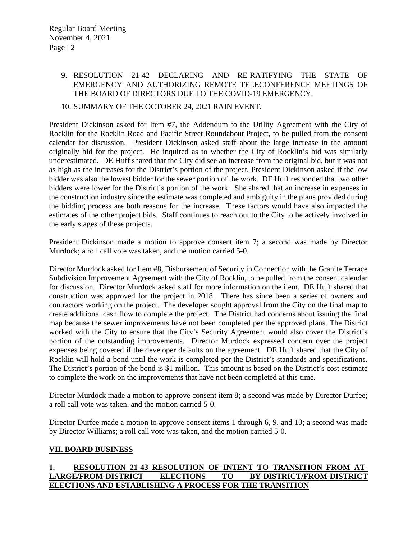## 9. RESOLUTION 21-42 DECLARING AND RE-RATIFYING THE STATE OF EMERGENCY AND AUTHORIZING REMOTE TELECONFERENCE MEETINGS OF THE BOARD OF DIRECTORS DUE TO THE COVID-19 EMERGENCY.

## 10. SUMMARY OF THE OCTOBER 24, 2021 RAIN EVENT.

President Dickinson asked for Item #7, the Addendum to the Utility Agreement with the City of Rocklin for the Rocklin Road and Pacific Street Roundabout Project, to be pulled from the consent calendar for discussion. President Dickinson asked staff about the large increase in the amount originally bid for the project. He inquired as to whether the City of Rocklin's bid was similarly underestimated. DE Huff shared that the City did see an increase from the original bid, but it was not as high as the increases for the District's portion of the project. President Dickinson asked if the low bidder was also the lowest bidder for the sewer portion of the work. DE Huff responded that two other bidders were lower for the District's portion of the work. She shared that an increase in expenses in the construction industry since the estimate was completed and ambiguity in the plans provided during the bidding process are both reasons for the increase. These factors would have also impacted the estimates of the other project bids. Staff continues to reach out to the City to be actively involved in the early stages of these projects.

President Dickinson made a motion to approve consent item 7; a second was made by Director Murdock; a roll call vote was taken, and the motion carried 5-0.

Director Murdock asked for Item #8, Disbursement of Security in Connection with the Granite Terrace Subdivision Improvement Agreement with the City of Rocklin, to be pulled from the consent calendar for discussion. Director Murdock asked staff for more information on the item. DE Huff shared that construction was approved for the project in 2018. There has since been a series of owners and contractors working on the project. The developer sought approval from the City on the final map to create additional cash flow to complete the project. The District had concerns about issuing the final map because the sewer improvements have not been completed per the approved plans. The District worked with the City to ensure that the City's Security Agreement would also cover the District's portion of the outstanding improvements. Director Murdock expressed concern over the project expenses being covered if the developer defaults on the agreement. DE Huff shared that the City of Rocklin will hold a bond until the work is completed per the District's standards and specifications. The District's portion of the bond is \$1 million. This amount is based on the District's cost estimate to complete the work on the improvements that have not been completed at this time.

Director Murdock made a motion to approve consent item 8; a second was made by Director Durfee; a roll call vote was taken, and the motion carried 5-0.

Director Durfee made a motion to approve consent items 1 through 6, 9, and 10; a second was made by Director Williams; a roll call vote was taken, and the motion carried 5-0.

#### **VII. BOARD BUSINESS**

# **1. RESOLUTION 21-43 RESOLUTION OF INTENT TO TRANSITION FROM AT-LARGE/FROM-DISTRICT ELECTIONS TO BY-DISTRICT/FROM-DISTRICT ELECTIONS AND ESTABLISHING A PROCESS FOR THE TRANSITION**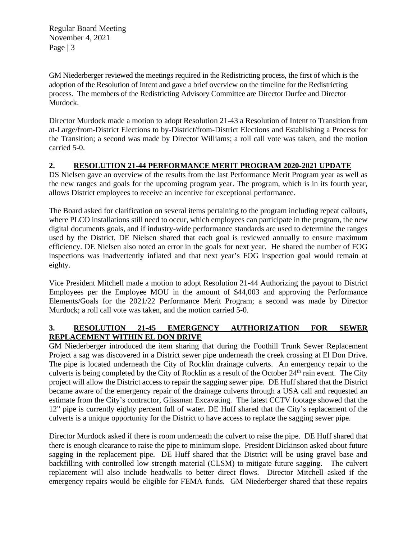Regular Board Meeting November 4, 2021 Page | 3

GM Niederberger reviewed the meetings required in the Redistricting process, the first of which is the adoption of the Resolution of Intent and gave a brief overview on the timeline for the Redistricting process. The members of the Redistricting Advisory Committee are Director Durfee and Director Murdock.

Director Murdock made a motion to adopt Resolution 21-43 a Resolution of Intent to Transition from at-Large/from-District Elections to by-District/from-District Elections and Establishing a Process for the Transition; a second was made by Director Williams; a roll call vote was taken, and the motion carried 5-0.

# **2. RESOLUTION 21-44 PERFORMANCE MERIT PROGRAM 2020-2021 UPDATE**

DS Nielsen gave an overview of the results from the last Performance Merit Program year as well as the new ranges and goals for the upcoming program year. The program, which is in its fourth year, allows District employees to receive an incentive for exceptional performance.

The Board asked for clarification on several items pertaining to the program including repeat callouts, where PLCO installations still need to occur, which employees can participate in the program, the new digital documents goals, and if industry-wide performance standards are used to determine the ranges used by the District. DE Nielsen shared that each goal is reviewed annually to ensure maximum efficiency. DE Nielsen also noted an error in the goals for next year. He shared the number of FOG inspections was inadvertently inflated and that next year's FOG inspection goal would remain at eighty.

Vice President Mitchell made a motion to adopt Resolution 21-44 Authorizing the payout to District Employees per the Employee MOU in the amount of \$44,003 and approving the Performance Elements/Goals for the 2021/22 Performance Merit Program; a second was made by Director Murdock; a roll call vote was taken, and the motion carried 5-0.

# **3. RESOLUTION 21-45 EMERGENCY AUTHORIZATION FOR SEWER REPLACEMENT WITHIN EL DON DRIVE**

GM Niederberger introduced the item sharing that during the Foothill Trunk Sewer Replacement Project a sag was discovered in a District sewer pipe underneath the creek crossing at El Don Drive. The pipe is located underneath the City of Rocklin drainage culverts. An emergency repair to the culverts is being completed by the City of Rocklin as a result of the October  $24<sup>th</sup>$  rain event. The City project will allow the District access to repair the sagging sewer pipe. DE Huff shared that the District became aware of the emergency repair of the drainage culverts through a USA call and requested an estimate from the City's contractor, Glissman Excavating. The latest CCTV footage showed that the 12" pipe is currently eighty percent full of water. DE Huff shared that the City's replacement of the culverts is a unique opportunity for the District to have access to replace the sagging sewer pipe.

Director Murdock asked if there is room underneath the culvert to raise the pipe. DE Huff shared that there is enough clearance to raise the pipe to minimum slope. President Dickinson asked about future sagging in the replacement pipe. DE Huff shared that the District will be using gravel base and backfilling with controlled low strength material (CLSM) to mitigate future sagging. The culvert replacement will also include headwalls to better direct flows. Director Mitchell asked if the emergency repairs would be eligible for FEMA funds. GM Niederberger shared that these repairs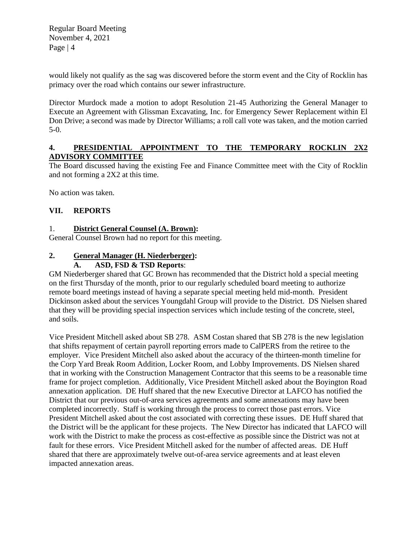Regular Board Meeting November 4, 2021 Page | 4

would likely not qualify as the sag was discovered before the storm event and the City of Rocklin has primacy over the road which contains our sewer infrastructure.

Director Murdock made a motion to adopt Resolution 21-45 Authorizing the General Manager to Execute an Agreement with Glissman Excavating, Inc. for Emergency Sewer Replacement within El Don Drive; a second was made by Director Williams; a roll call vote was taken, and the motion carried 5-0.

# **4. PRESIDENTIAL APPOINTMENT TO THE TEMPORARY ROCKLIN 2X2 ADVISORY COMMITTEE**

The Board discussed having the existing Fee and Finance Committee meet with the City of Rocklin and not forming a 2X2 at this time.

No action was taken.

# **VII. REPORTS**

# 1. **District General Counsel (A. Brown):**

General Counsel Brown had no report for this meeting.

## **2. General Manager (H. Niederberger):**

# **A. ASD, FSD & TSD Reports**:

GM Niederberger shared that GC Brown has recommended that the District hold a special meeting on the first Thursday of the month, prior to our regularly scheduled board meeting to authorize remote board meetings instead of having a separate special meeting held mid-month. President Dickinson asked about the services Youngdahl Group will provide to the District. DS Nielsen shared that they will be providing special inspection services which include testing of the concrete, steel, and soils.

Vice President Mitchell asked about SB 278. ASM Costan shared that SB 278 is the new legislation that shifts repayment of certain payroll reporting errors made to CalPERS from the retiree to the employer. Vice President Mitchell also asked about the accuracy of the thirteen-month timeline for the Corp Yard Break Room Addition, Locker Room, and Lobby Improvements. DS Nielsen shared that in working with the Construction Management Contractor that this seems to be a reasonable time frame for project completion. Additionally, Vice President Mitchell asked about the Boyington Road annexation application. DE Huff shared that the new Executive Director at LAFCO has notified the District that our previous out-of-area services agreements and some annexations may have been completed incorrectly. Staff is working through the process to correct those past errors. Vice President Mitchell asked about the cost associated with correcting these issues. DE Huff shared that the District will be the applicant for these projects. The New Director has indicated that LAFCO will work with the District to make the process as cost-effective as possible since the District was not at fault for these errors. Vice President Mitchell asked for the number of affected areas. DE Huff shared that there are approximately twelve out-of-area service agreements and at least eleven impacted annexation areas.